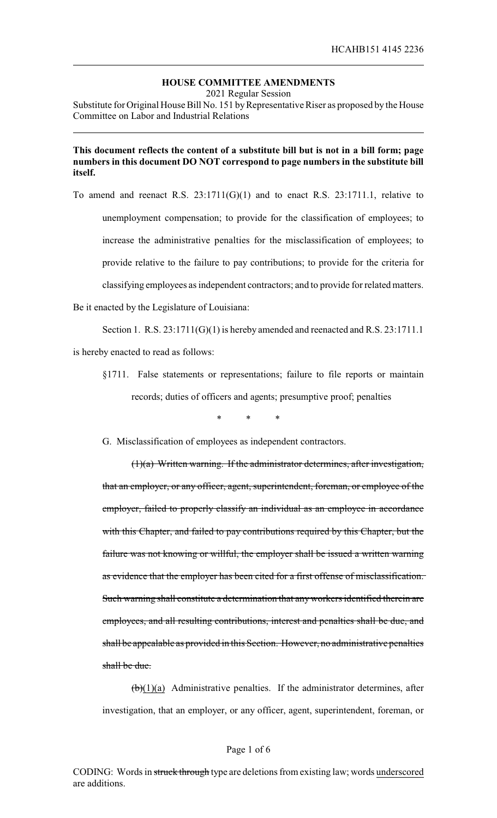# **HOUSE COMMITTEE AMENDMENTS**

2021 Regular Session

Substitute for Original House Bill No. 151 by Representative Riser as proposed by the House Committee on Labor and Industrial Relations

# **This document reflects the content of a substitute bill but is not in a bill form; page numbers in this document DO NOT correspond to page numbers in the substitute bill itself.**

To amend and reenact R.S.  $23:1711(G)(1)$  and to enact R.S.  $23:1711.1$ , relative to unemployment compensation; to provide for the classification of employees; to increase the administrative penalties for the misclassification of employees; to provide relative to the failure to pay contributions; to provide for the criteria for classifying employees as independent contractors; and to provide for related matters.

Be it enacted by the Legislature of Louisiana:

Section 1. R.S.  $23:1711(G)(1)$  is hereby amended and reenacted and R.S.  $23:1711.1$ is hereby enacted to read as follows:

§1711. False statements or representations; failure to file reports or maintain records; duties of officers and agents; presumptive proof; penalties

\* \* \*

G. Misclassification of employees as independent contractors.

(1)(a) Written warning. If the administrator determines, after investigation, that an employer, or any officer, agent, superintendent, foreman, or employee of the employer, failed to properly classify an individual as an employee in accordance with this Chapter, and failed to pay contributions required by this Chapter, but the failure was not knowing or willful, the employer shall be issued a written warning as evidence that the employer has been cited for a first offense of misclassification. Such warning shall constitute a determination that any workers identified therein are employees, and all resulting contributions, interest and penalties shall be due, and shall be appealable as provided in this Section. However, no administrative penalties shall be due.

 $(b)(1)(a)$  Administrative penalties. If the administrator determines, after investigation, that an employer, or any officer, agent, superintendent, foreman, or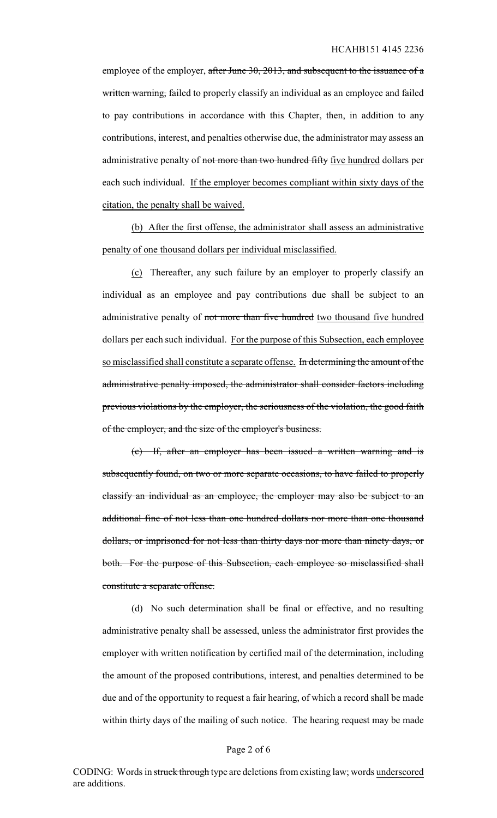employee of the employer, after June 30, 2013, and subsequent to the issuance of a written warning, failed to properly classify an individual as an employee and failed to pay contributions in accordance with this Chapter, then, in addition to any contributions, interest, and penalties otherwise due, the administrator may assess an administrative penalty of not more than two hundred fifty five hundred dollars per each such individual. If the employer becomes compliant within sixty days of the citation, the penalty shall be waived.

(b) After the first offense, the administrator shall assess an administrative penalty of one thousand dollars per individual misclassified.

(c) Thereafter, any such failure by an employer to properly classify an individual as an employee and pay contributions due shall be subject to an administrative penalty of not more than five hundred two thousand five hundred dollars per each such individual. For the purpose of this Subsection, each employee so misclassified shall constitute a separate offense. In determining the amount of the administrative penalty imposed, the administrator shall consider factors including previous violations by the employer, the seriousness of the violation, the good faith of the employer, and the size of the employer's business.

(c) If, after an employer has been issued a written warning and is subsequently found, on two or more separate occasions, to have failed to properly classify an individual as an employee, the employer may also be subject to an additional fine of not less than one hundred dollars nor more than one thousand dollars, or imprisoned for not less than thirty days nor more than ninety days, or both. For the purpose of this Subsection, each employee so misclassified shall constitute a separate offense.

(d) No such determination shall be final or effective, and no resulting administrative penalty shall be assessed, unless the administrator first provides the employer with written notification by certified mail of the determination, including the amount of the proposed contributions, interest, and penalties determined to be due and of the opportunity to request a fair hearing, of which a record shall be made within thirty days of the mailing of such notice. The hearing request may be made

#### Page 2 of 6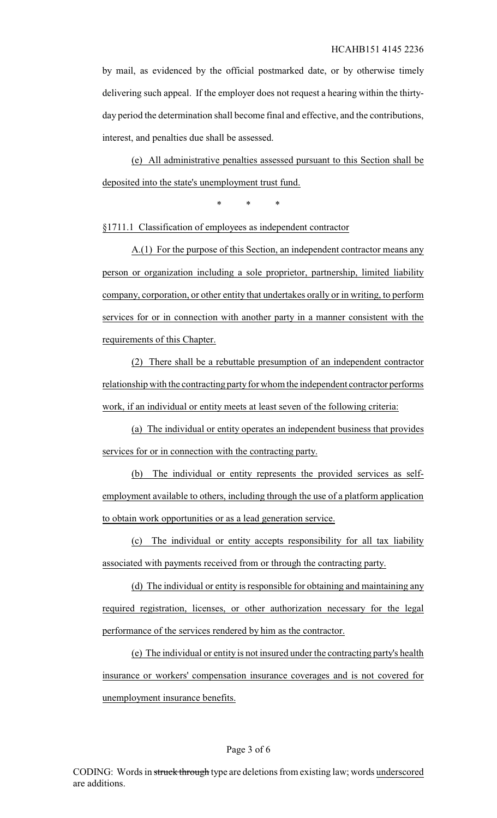by mail, as evidenced by the official postmarked date, or by otherwise timely delivering such appeal. If the employer does not request a hearing within the thirtyday period the determination shall become final and effective, and the contributions, interest, and penalties due shall be assessed.

(e) All administrative penalties assessed pursuant to this Section shall be deposited into the state's unemployment trust fund.

\* \* \*

§1711.1 Classification of employees as independent contractor

A.(1) For the purpose of this Section, an independent contractor means any person or organization including a sole proprietor, partnership, limited liability company, corporation, or other entity that undertakes orally or in writing, to perform services for or in connection with another party in a manner consistent with the requirements of this Chapter.

(2) There shall be a rebuttable presumption of an independent contractor relationship with the contracting party for whom the independent contractor performs work, if an individual or entity meets at least seven of the following criteria:

(a) The individual or entity operates an independent business that provides services for or in connection with the contracting party.

(b) The individual or entity represents the provided services as selfemployment available to others, including through the use of a platform application to obtain work opportunities or as a lead generation service.

(c) The individual or entity accepts responsibility for all tax liability associated with payments received from or through the contracting party.

(d) The individual or entity is responsible for obtaining and maintaining any required registration, licenses, or other authorization necessary for the legal performance of the services rendered by him as the contractor.

(e) The individual or entity is not insured under the contracting party's health insurance or workers' compensation insurance coverages and is not covered for unemployment insurance benefits.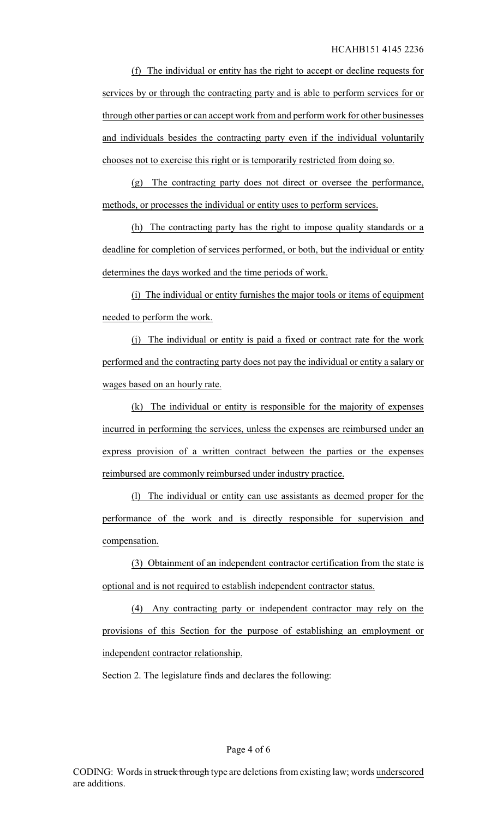(f) The individual or entity has the right to accept or decline requests for services by or through the contracting party and is able to perform services for or through other parties or can accept work from and perform work for other businesses and individuals besides the contracting party even if the individual voluntarily chooses not to exercise this right or is temporarily restricted from doing so.

(g) The contracting party does not direct or oversee the performance, methods, or processes the individual or entity uses to perform services.

(h) The contracting party has the right to impose quality standards or a deadline for completion of services performed, or both, but the individual or entity determines the days worked and the time periods of work.

(i) The individual or entity furnishes the major tools or items of equipment needed to perform the work.

(j) The individual or entity is paid a fixed or contract rate for the work performed and the contracting party does not pay the individual or entity a salary or wages based on an hourly rate.

(k) The individual or entity is responsible for the majority of expenses incurred in performing the services, unless the expenses are reimbursed under an express provision of a written contract between the parties or the expenses reimbursed are commonly reimbursed under industry practice.

(l) The individual or entity can use assistants as deemed proper for the performance of the work and is directly responsible for supervision and compensation.

(3) Obtainment of an independent contractor certification from the state is optional and is not required to establish independent contractor status.

(4) Any contracting party or independent contractor may rely on the provisions of this Section for the purpose of establishing an employment or independent contractor relationship.

Section 2. The legislature finds and declares the following: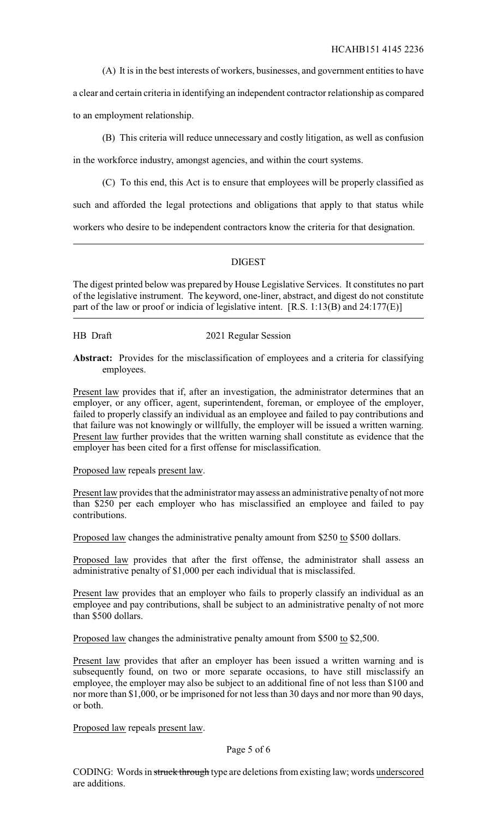(A) It is in the best interests of workers, businesses, and government entities to have

a clear and certain criteria in identifying an independent contractor relationship as compared to an employment relationship.

(B) This criteria will reduce unnecessary and costly litigation, as well as confusion

in the workforce industry, amongst agencies, and within the court systems.

(C) To this end, this Act is to ensure that employees will be properly classified as

such and afforded the legal protections and obligations that apply to that status while

workers who desire to be independent contractors know the criteria for that designation.

# DIGEST

The digest printed below was prepared by House Legislative Services. It constitutes no part of the legislative instrument. The keyword, one-liner, abstract, and digest do not constitute part of the law or proof or indicia of legislative intent. [R.S. 1:13(B) and 24:177(E)]

HB Draft 2021 Regular Session

**Abstract:** Provides for the misclassification of employees and a criteria for classifying employees.

Present law provides that if, after an investigation, the administrator determines that an employer, or any officer, agent, superintendent, foreman, or employee of the employer, failed to properly classify an individual as an employee and failed to pay contributions and that failure was not knowingly or willfully, the employer will be issued a written warning. Present law further provides that the written warning shall constitute as evidence that the employer has been cited for a first offense for misclassification.

Proposed law repeals present law.

Present law provides that the administrator may assess an administrative penalty of not more than \$250 per each employer who has misclassified an employee and failed to pay contributions.

Proposed law changes the administrative penalty amount from \$250 to \$500 dollars.

Proposed law provides that after the first offense, the administrator shall assess an administrative penalty of \$1,000 per each individual that is misclassifed.

Present law provides that an employer who fails to properly classify an individual as an employee and pay contributions, shall be subject to an administrative penalty of not more than \$500 dollars.

Proposed law changes the administrative penalty amount from \$500 to \$2,500.

Present law provides that after an employer has been issued a written warning and is subsequently found, on two or more separate occasions, to have still misclassify an employee, the employer may also be subject to an additional fine of not less than \$100 and nor more than \$1,000, or be imprisoned for not less than 30 days and nor more than 90 days, or both.

Proposed law repeals present law.

# Page 5 of 6

CODING: Words in struck through type are deletions from existing law; words underscored are additions.